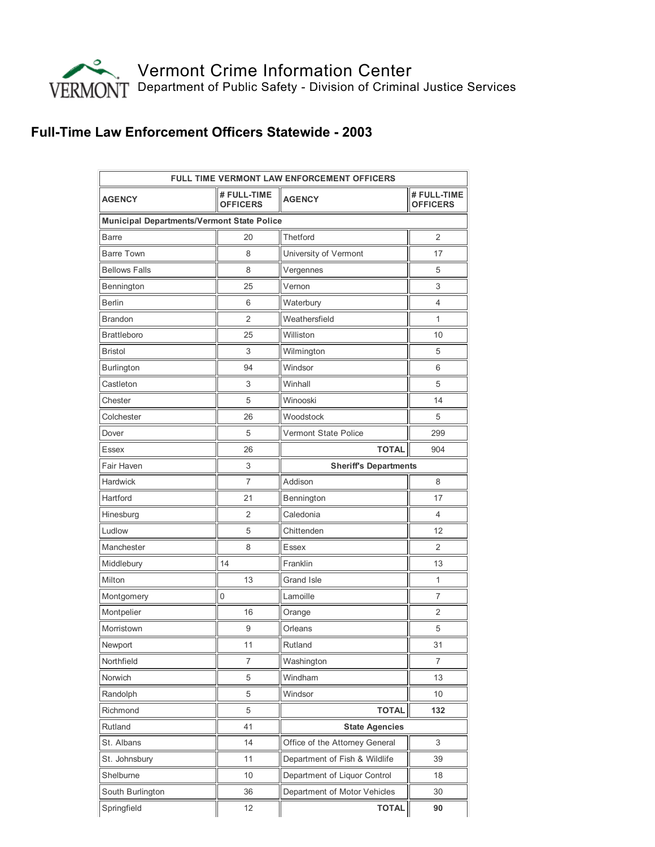

## Full-Time Law Enforcement Officers Statewide - 2003

| <b>FULL TIME VERMONT LAW ENFORCEMENT OFFICERS</b> |                                |                                |                                |
|---------------------------------------------------|--------------------------------|--------------------------------|--------------------------------|
| <b>AGENCY</b>                                     | # FULL-TIME<br><b>OFFICERS</b> | <b>AGENCY</b>                  | # FULL-TIME<br><b>OFFICERS</b> |
| <b>Municipal Departments/Vermont State Police</b> |                                |                                |                                |
| <b>Barre</b>                                      | 20                             | Thetford                       | $\overline{2}$                 |
| <b>Barre Town</b>                                 | 8                              | University of Vermont          | 17                             |
| <b>Bellows Falls</b>                              | 8                              | Vergennes                      | 5                              |
| Bennington                                        | 25                             | Vernon                         | 3                              |
| <b>Berlin</b>                                     | 6                              | Waterbury                      | 4                              |
| <b>Brandon</b>                                    | 2                              | Weathersfield                  | 1                              |
| <b>Brattleboro</b>                                | 25                             | Williston                      | 10                             |
| <b>Bristol</b>                                    | 3                              | Wilmington                     | 5                              |
| Burlington                                        | 94                             | Windsor                        | 6                              |
| Castleton                                         | 3                              | Winhall                        | 5                              |
| Chester                                           | 5                              | Winooski                       | 14                             |
| Colchester                                        | 26                             | Woodstock                      | 5                              |
| Dover                                             | 5                              | Vermont State Police           | 299                            |
| Essex                                             | 26                             | <b>TOTAL</b>                   | 904                            |
| Fair Haven                                        | 3                              | <b>Sheriff's Departments</b>   |                                |
| Hardwick                                          | 7                              | Addison                        | 8                              |
| Hartford                                          | 21                             | Bennington                     | 17                             |
| Hinesburg                                         | 2                              | Caledonia                      | 4                              |
| Ludlow                                            | 5                              | Chittenden                     | 12                             |
| Manchester                                        | 8                              | <b>Essex</b>                   | 2                              |
| Middlebury                                        | 14                             | Franklin                       | 13                             |
| Milton                                            | 13                             | Grand Isle                     | 1                              |
| Montgomery                                        | $\mathbf 0$                    | Lamoille                       | $\overline{7}$                 |
| Montpelier                                        | 16                             | Orange                         | 2                              |
| Morristown                                        | 9                              | Orleans                        | 5                              |
| Newport                                           | 11                             | Rutland                        | 31                             |
| Northfield                                        | 7                              | Washington                     | 7                              |
| Norwich                                           | 5                              | Windham                        | 13                             |
| Randolph                                          | 5                              | Windsor                        | 10                             |
| Richmond                                          | 5                              | <b>TOTAL</b>                   | 132                            |
| Rutland                                           | 41                             | <b>State Agencies</b>          |                                |
| St. Albans                                        | 14                             | Office of the Attorney General | 3                              |
| St. Johnsbury                                     | 11                             | Department of Fish & Wildlife  | 39                             |
| Shelburne                                         | 10                             | Department of Liquor Control   | 18                             |
| South Burlington                                  | 36                             | Department of Motor Vehicles   | 30                             |
| Springfield                                       | 12                             | <b>TOTAL</b>                   | 90                             |